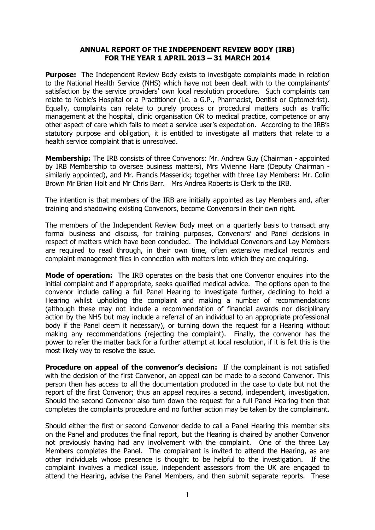### **ANNUAL REPORT OF THE INDEPENDENT REVIEW BODY (IRB) FOR THE YEAR 1 APRIL 2013 – 31 MARCH 2014**

**Purpose:** The Independent Review Body exists to investigate complaints made in relation to the National Health Service (NHS) which have not been dealt with to the complainants' satisfaction by the service providers' own local resolution procedure. Such complaints can relate to Noble's Hospital or a Practitioner (i.e. a G.P., Pharmacist, Dentist or Optometrist). Equally, complaints can relate to purely process or procedural matters such as traffic management at the hospital, clinic organisation OR to medical practice, competence or any other aspect of care which fails to meet a service user's expectation. According to the IRB's statutory purpose and obligation, it is entitled to investigate all matters that relate to a health service complaint that is unresolved.

**Membership:** The IRB consists of three Convenors: Mr. Andrew Guy (Chairman - appointed by IRB Membership to oversee business matters), Mrs Vivienne Hare (Deputy Chairman similarly appointed), and Mr. Francis Masserick; together with three Lay Members**:** Mr. Colin Brown Mr Brian Holt and Mr Chris Barr. Mrs Andrea Roberts is Clerk to the IRB.

The intention is that members of the IRB are initially appointed as Lay Members and, after training and shadowing existing Convenors, become Convenors in their own right.

The members of the Independent Review Body meet on a quarterly basis to transact any formal business and discuss, for training purposes, Convenors' and Panel decisions in respect of matters which have been concluded. The individual Convenors and Lay Members are required to read through, in their own time, often extensive medical records and complaint management files in connection with matters into which they are enquiring.

**Mode of operation:** The IRB operates on the basis that one Convenor enquires into the initial complaint and if appropriate, seeks qualified medical advice. The options open to the convenor include calling a full Panel Hearing to investigate further, declining to hold a Hearing whilst upholding the complaint and making a number of recommendations (although these may not include a recommendation of financial awards nor disciplinary action by the NHS but may include a referral of an individual to an appropriate professional body if the Panel deem it necessary), or turning down the request for a Hearing without making any recommendations (rejecting the complaint). Finally, the convenor has the power to refer the matter back for a further attempt at local resolution, if it is felt this is the most likely way to resolve the issue.

**Procedure on appeal of the convenor's decision:** If the complainant is not satisfied with the decision of the first Convenor, an appeal can be made to a second Convenor. This person then has access to all the documentation produced in the case to date but not the report of the first Convenor; thus an appeal requires a second, independent, investigation. Should the second Convenor also turn down the request for a full Panel Hearing then that completes the complaints procedure and no further action may be taken by the complainant.

Should either the first or second Convenor decide to call a Panel Hearing this member sits on the Panel and produces the final report, but the Hearing is chaired by another Convenor not previously having had any involvement with the complaint. One of the three Lay Members completes the Panel. The complainant is invited to attend the Hearing, as are other individuals whose presence is thought to be helpful to the investigation. If the complaint involves a medical issue, independent assessors from the UK are engaged to attend the Hearing, advise the Panel Members, and then submit separate reports. These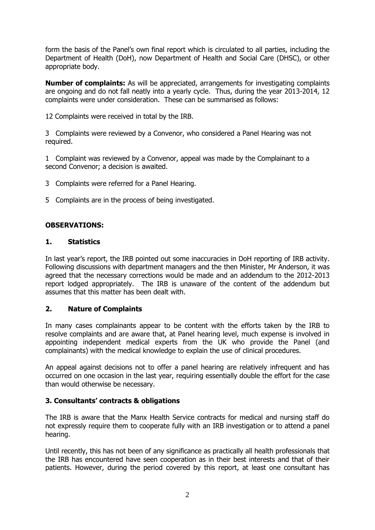form the basis of the Panel's own final report which is circulated to all parties, including the Department of Health (DoH), now Department of Health and Social Care (DHSC), or other appropriate body.

**Number of complaints:** As will be appreciated, arrangements for investigating complaints are ongoing and do not fall neatly into a yearly cycle. Thus, during the year 2013-2014, 12 complaints were under consideration. These can be summarised as follows:

12 Complaints were received in total by the IRB.

3 Complaints were reviewed by a Convenor, who considered a Panel Hearing was not required.

1 Complaint was reviewed by a Convenor, appeal was made by the Complainant to a second Convenor; a decision is awaited.

- 3 Complaints were referred for a Panel Hearing.
- 5 Complaints are in the process of being investigated.

## **OBSERVATIONS:**

### **1. Statistics**

In last year's report, the IRB pointed out some inaccuracies in DoH reporting of IRB activity. Following discussions with department managers and the then Minister, Mr Anderson, it was agreed that the necessary corrections would be made and an addendum to the 2012-2013 report lodged appropriately. The IRB is unaware of the content of the addendum but assumes that this matter has been dealt with.

### **2. Nature of Complaints**

In many cases complainants appear to be content with the efforts taken by the IRB to resolve complaints and are aware that, at Panel hearing level, much expense is involved in appointing independent medical experts from the UK who provide the Panel (and complainants) with the medical knowledge to explain the use of clinical procedures.

An appeal against decisions not to offer a panel hearing are relatively infrequent and has occurred on one occasion in the last year, requiring essentially double the effort for the case than would otherwise be necessary.

# **3. Consultants' contracts & obligations**

The IRB is aware that the Manx Health Service contracts for medical and nursing staff do not expressly require them to cooperate fully with an IRB investigation or to attend a panel hearing.

Until recently, this has not been of any significance as practically all health professionals that the IRB has encountered have seen cooperation as in their best interests and that of their patients. However, during the period covered by this report, at least one consultant has